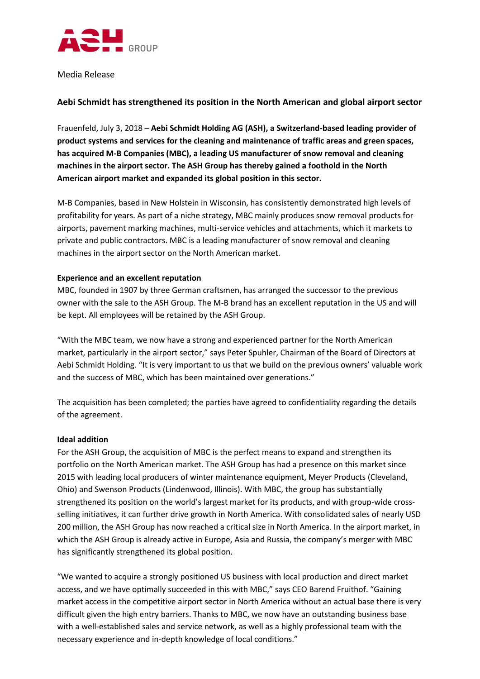

Media Release

# **Aebi Schmidt has strengthened its position in the North American and global airport sector**

Frauenfeld, July 3, 2018 – **Aebi Schmidt Holding AG (ASH), a Switzerland-based leading provider of product systems and services for the cleaning and maintenance of traffic areas and green spaces, has acquired M-B Companies (MBC), a leading US manufacturer of snow removal and cleaning machines in the airport sector. The ASH Group has thereby gained a foothold in the North American airport market and expanded its global position in this sector.**

M-B Companies, based in New Holstein in Wisconsin, has consistently demonstrated high levels of profitability for years. As part of a niche strategy, MBC mainly produces snow removal products for airports, pavement marking machines, multi-service vehicles and attachments, which it markets to private and public contractors. MBC is a leading manufacturer of snow removal and cleaning machines in the airport sector on the North American market.

## **Experience and an excellent reputation**

MBC, founded in 1907 by three German craftsmen, has arranged the successor to the previous owner with the sale to the ASH Group. The M-B brand has an excellent reputation in the US and will be kept. All employees will be retained by the ASH Group.

"With the MBC team, we now have a strong and experienced partner for the North American market, particularly in the airport sector," says Peter Spuhler, Chairman of the Board of Directors at Aebi Schmidt Holding. "It is very important to us that we build on the previous owners' valuable work and the success of MBC, which has been maintained over generations."

The acquisition has been completed; the parties have agreed to confidentiality regarding the details of the agreement.

#### **Ideal addition**

For the ASH Group, the acquisition of MBC is the perfect means to expand and strengthen its portfolio on the North American market. The ASH Group has had a presence on this market since 2015 with leading local producers of winter maintenance equipment, Meyer Products (Cleveland, Ohio) and Swenson Products (Lindenwood, Illinois). With MBC, the group has substantially strengthened its position on the world's largest market for its products, and with group-wide crossselling initiatives, it can further drive growth in North America. With consolidated sales of nearly USD 200 million, the ASH Group has now reached a critical size in North America. In the airport market, in which the ASH Group is already active in Europe, Asia and Russia, the company's merger with MBC has significantly strengthened its global position.

"We wanted to acquire a strongly positioned US business with local production and direct market access, and we have optimally succeeded in this with MBC," says CEO Barend Fruithof. "Gaining market access in the competitive airport sector in North America without an actual base there is very difficult given the high entry barriers. Thanks to MBC, we now have an outstanding business base with a well-established sales and service network, as well as a highly professional team with the necessary experience and in-depth knowledge of local conditions."